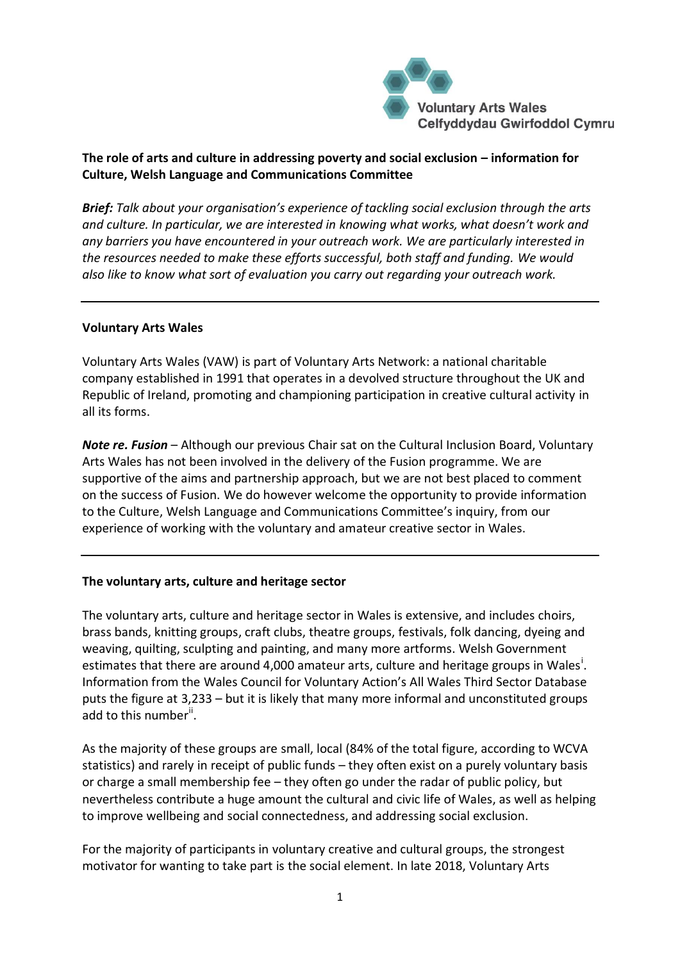

## **The role of arts and culture in addressing poverty and social exclusion – information for Culture, Welsh Language and Communications Committee**

*Brief: Talk about your organisation's experience of tackling social exclusion through the arts and culture. In particular, we are interested in knowing what works, what doesn't work and any barriers you have encountered in your outreach work. We are particularly interested in the resources needed to make these efforts successful, both staff and funding. We would also like to know what sort of evaluation you carry out regarding your outreach work.*

## **Voluntary Arts Wales**

Voluntary Arts Wales (VAW) is part of Voluntary Arts Network: a national charitable company established in 1991 that operates in a devolved structure throughout the UK and Republic of Ireland, promoting and championing participation in creative cultural activity in all its forms.

*Note re. Fusion* – Although our previous Chair sat on the Cultural Inclusion Board, Voluntary Arts Wales has not been involved in the delivery of the Fusion programme. We are supportive of the aims and partnership approach, but we are not best placed to comment on the success of Fusion. We do however welcome the opportunity to provide information to the Culture, Welsh Language and Communications Committee's inquiry, from our experience of working with the voluntary and amateur creative sector in Wales.

## **The voluntary arts, culture and heritage sector**

The voluntary arts, culture and heritage sector in Wales is extensive, and includes choirs, brass bands, knitting groups, craft clubs, theatre groups, festivals, folk dancing, dyeing and weaving, quilting, sculpting and painting, and many more artforms. Welsh Government estimates that there are around 4,000 amateur arts, culture and heritage groups in Wales<sup>i</sup>. Information from the Wales Council for Voluntary Action's All Wales Third Sector Database puts the figure at 3,233 – but it is likely that many more informal and unconstituted groups add to this number<sup>ii</sup>.

As the majority of these groups are small, local (84% of the total figure, according to WCVA statistics) and rarely in receipt of public funds – they often exist on a purely voluntary basis or charge a small membership fee – they often go under the radar of public policy, but nevertheless contribute a huge amount the cultural and civic life of Wales, as well as helping to improve wellbeing and social connectedness, and addressing social exclusion.

For the majority of participants in voluntary creative and cultural groups, the strongest motivator for wanting to take part is the social element. In late 2018, Voluntary Arts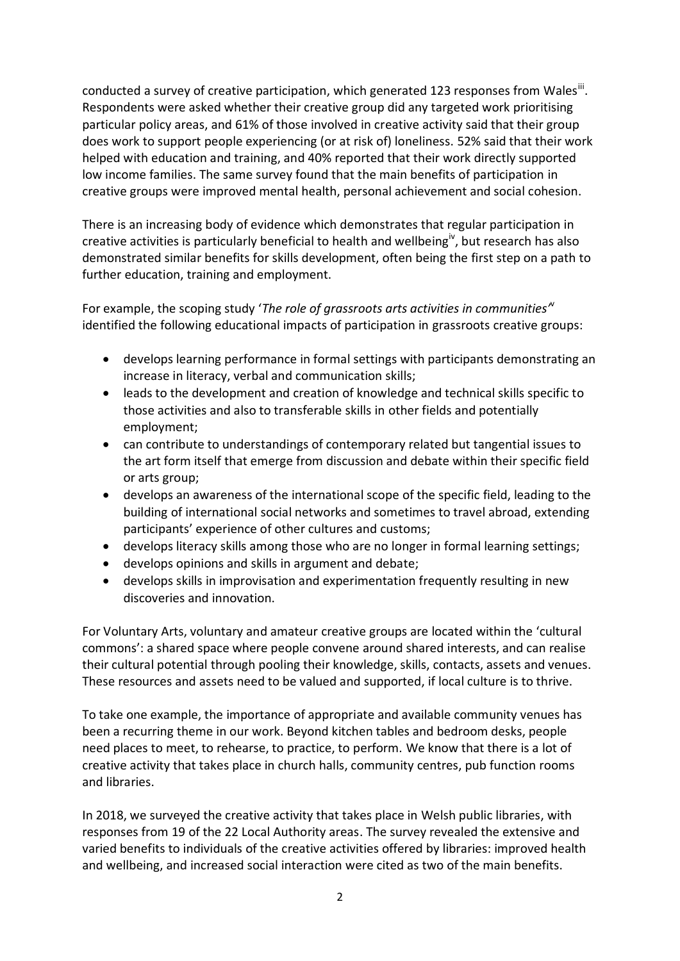conducted a survey of creative participation, which generated 123 responses from Wales<sup>iii</sup>. Respondents were asked whether their creative group did any targeted work prioritising particular policy areas, and 61% of those involved in creative activity said that their group does work to support people experiencing (or at risk of) loneliness. 52% said that their work helped with education and training, and 40% reported that their work directly supported low income families. The same survey found that the main benefits of participation in creative groups were improved mental health, personal achievement and social cohesion.

There is an increasing body of evidence which demonstrates that regular participation in creative activities is particularly beneficial to health and wellbeing<sup>iv</sup>, but research has also demonstrated similar benefits for skills development, often being the first step on a path to further education, training and employment.

For example, the scoping study '*The role of grassroots arts activities in communities'* v identified the following educational impacts of participation in grassroots creative groups:

- develops learning performance in formal settings with participants demonstrating an increase in literacy, verbal and communication skills;
- leads to the development and creation of knowledge and technical skills specific to those activities and also to transferable skills in other fields and potentially employment;
- can contribute to understandings of contemporary related but tangential issues to the art form itself that emerge from discussion and debate within their specific field or arts group;
- develops an awareness of the international scope of the specific field, leading to the building of international social networks and sometimes to travel abroad, extending participants' experience of other cultures and customs;
- develops literacy skills among those who are no longer in formal learning settings;
- develops opinions and skills in argument and debate;
- develops skills in improvisation and experimentation frequently resulting in new discoveries and innovation.

For Voluntary Arts, voluntary and amateur creative groups are located within the 'cultural commons': a shared space where people convene around shared interests, and can realise their cultural potential through pooling their knowledge, skills, contacts, assets and venues. These resources and assets need to be valued and supported, if local culture is to thrive.

To take one example, the importance of appropriate and available community venues has been a recurring theme in our work. Beyond kitchen tables and bedroom desks, people need places to meet, to rehearse, to practice, to perform. We know that there is a lot of creative activity that takes place in church halls, community centres, pub function rooms and libraries.

In 2018, we surveyed the creative activity that takes place in Welsh public libraries, with responses from 19 of the 22 Local Authority areas. The survey revealed the extensive and varied benefits to individuals of the creative activities offered by libraries: improved health and wellbeing, and increased social interaction were cited as two of the main benefits.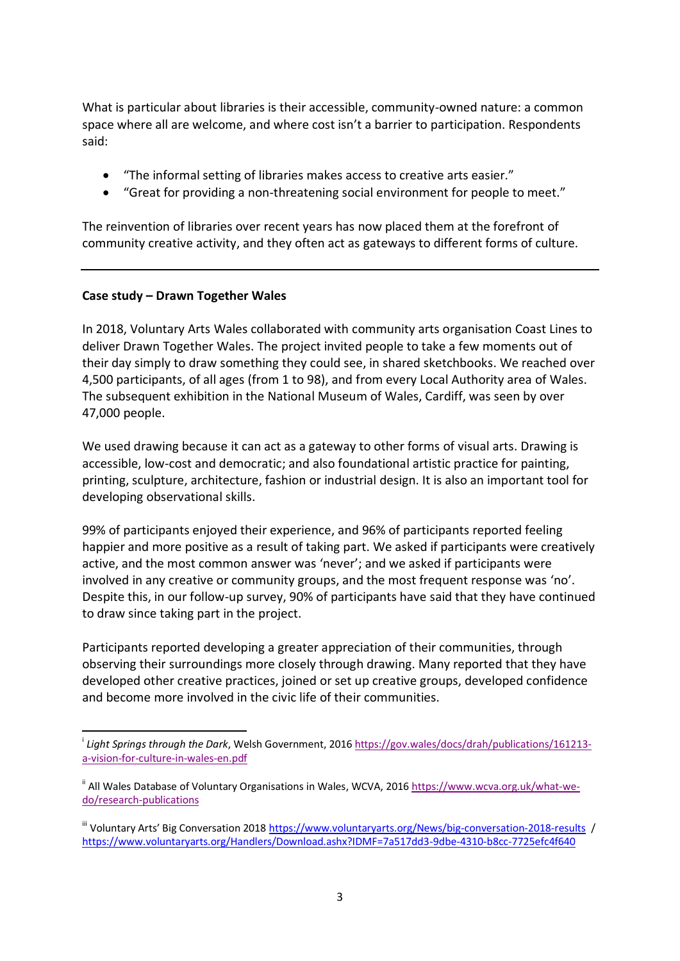What is particular about libraries is their accessible, community-owned nature: a common space where all are welcome, and where cost isn't a barrier to participation. Respondents said:

- "The informal setting of libraries makes access to creative arts easier."
- "Great for providing a non-threatening social environment for people to meet."

The reinvention of libraries over recent years has now placed them at the forefront of community creative activity, and they often act as gateways to different forms of culture.

## **Case study – Drawn Together Wales**

-

In 2018, Voluntary Arts Wales collaborated with community arts organisation Coast Lines to deliver Drawn Together Wales. The project invited people to take a few moments out of their day simply to draw something they could see, in shared sketchbooks. We reached over 4,500 participants, of all ages (from 1 to 98), and from every Local Authority area of Wales. The subsequent exhibition in the National Museum of Wales, Cardiff, was seen by over 47,000 people.

We used drawing because it can act as a gateway to other forms of visual arts. Drawing is accessible, low-cost and democratic; and also foundational artistic practice for painting, printing, sculpture, architecture, fashion or industrial design. It is also an important tool for developing observational skills.

99% of participants enjoyed their experience, and 96% of participants reported feeling happier and more positive as a result of taking part. We asked if participants were creatively active, and the most common answer was 'never'; and we asked if participants were involved in any creative or community groups, and the most frequent response was 'no'. Despite this, in our follow-up survey, 90% of participants have said that they have continued to draw since taking part in the project.

Participants reported developing a greater appreciation of their communities, through observing their surroundings more closely through drawing. Many reported that they have developed other creative practices, joined or set up creative groups, developed confidence and become more involved in the civic life of their communities.

i *Light Springs through the Dark*, Welsh Government, 201[6 https://gov.wales/docs/drah/publications/161213](https://gov.wales/docs/drah/publications/161213-a-vision-for-culture-in-wales-en.pdf) [a-vision-for-culture-in-wales-en.pdf](https://gov.wales/docs/drah/publications/161213-a-vision-for-culture-in-wales-en.pdf)

<sup>&</sup>lt;sup>ii</sup> All Wales Database of Voluntary Organisations in Wales, WCVA, 2016 [https://www.wcva.org.uk/what-we](https://www.wcva.org.uk/what-we-do/research-publications)[do/research-publications](https://www.wcva.org.uk/what-we-do/research-publications)

III Voluntary Arts' Big Conversation 201[8 https://www.voluntaryarts.org/News/big-conversation-2018-results](https://www.voluntaryarts.org/News/big-conversation-2018-results) / <https://www.voluntaryarts.org/Handlers/Download.ashx?IDMF=7a517dd3-9dbe-4310-b8cc-7725efc4f640>